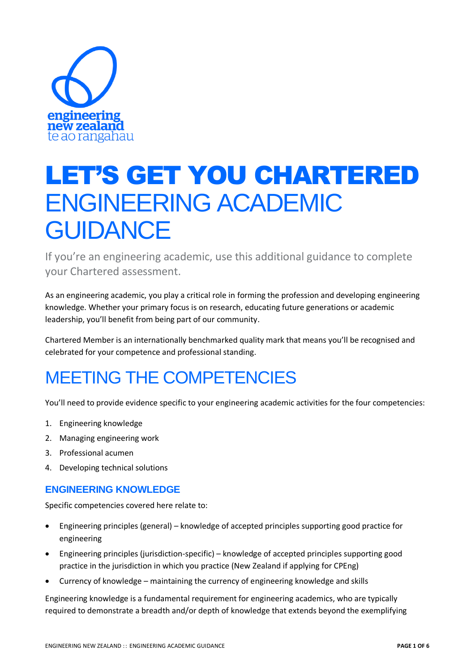

# LET'S GET YOU CHARTERED ENGINEERING ACADEMIC **GUIDANCE**

If you're an engineering academic, use this additional guidance to complete your Chartered assessment.

As an engineering academic, you play a critical role in forming the profession and developing engineering knowledge. Whether your primary focus is on research, educating future generations or academic leadership, you'll benefit from being part of our community.

Chartered Member is an internationally benchmarked quality mark that means you'll be recognised and celebrated for your competence and professional standing.

# MEETING THE COMPETENCIES

You'll need to provide evidence specific to your engineering academic activities for the four competencies:

- 1. Engineering knowledge
- 2. Managing engineering work
- 3. Professional acumen
- 4. Developing technical solutions

### **ENGINEERING KNOWLEDGE**

Specific competencies covered here relate to:

- Engineering principles (general) knowledge of accepted principles supporting good practice for engineering
- Engineering principles (jurisdiction-specific) knowledge of accepted principles supporting good practice in the jurisdiction in which you practice (New Zealand if applying for CPEng)
- Currency of knowledge maintaining the currency of engineering knowledge and skills

Engineering knowledge is a fundamental requirement for engineering academics, who are typically required to demonstrate a breadth and/or depth of knowledge that extends beyond the exemplifying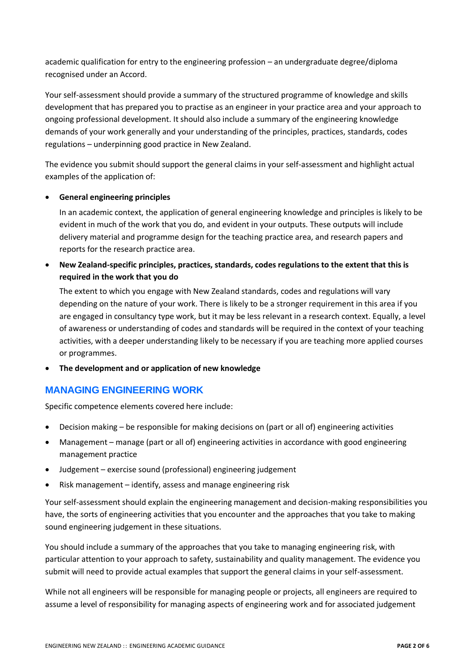academic qualification for entry to the engineering profession – an undergraduate degree/diploma recognised under an Accord.

Your self-assessment should provide a summary of the structured programme of knowledge and skills development that has prepared you to practise as an engineer in your practice area and your approach to ongoing professional development. It should also include a summary of the engineering knowledge demands of your work generally and your understanding of the principles, practices, standards, codes regulations – underpinning good practice in New Zealand.

The evidence you submit should support the general claims in your self-assessment and highlight actual examples of the application of:

### • **General engineering principles**

In an academic context, the application of general engineering knowledge and principles is likely to be evident in much of the work that you do, and evident in your outputs. These outputs will include delivery material and programme design for the teaching practice area, and research papers and reports for the research practice area.

• **New Zealand-specific principles, practices, standards, codes regulations to the extent that this is required in the work that you do**

The extent to which you engage with New Zealand standards, codes and regulations will vary depending on the nature of your work. There is likely to be a stronger requirement in this area if you are engaged in consultancy type work, but it may be less relevant in a research context. Equally, a level of awareness or understanding of codes and standards will be required in the context of your teaching activities, with a deeper understanding likely to be necessary if you are teaching more applied courses or programmes.

• **The development and or application of new knowledge**

### **MANAGING ENGINEERING WORK**

Specific competence elements covered here include:

- Decision making be responsible for making decisions on (part or all of) engineering activities
- Management manage (part or all of) engineering activities in accordance with good engineering management practice
- Judgement exercise sound (professional) engineering judgement
- Risk management identify, assess and manage engineering risk

Your self-assessment should explain the engineering management and decision-making responsibilities you have, the sorts of engineering activities that you encounter and the approaches that you take to making sound engineering judgement in these situations.

You should include a summary of the approaches that you take to managing engineering risk, with particular attention to your approach to safety, sustainability and quality management. The evidence you submit will need to provide actual examples that support the general claims in your self-assessment.

While not all engineers will be responsible for managing people or projects, all engineers are required to assume a level of responsibility for managing aspects of engineering work and for associated judgement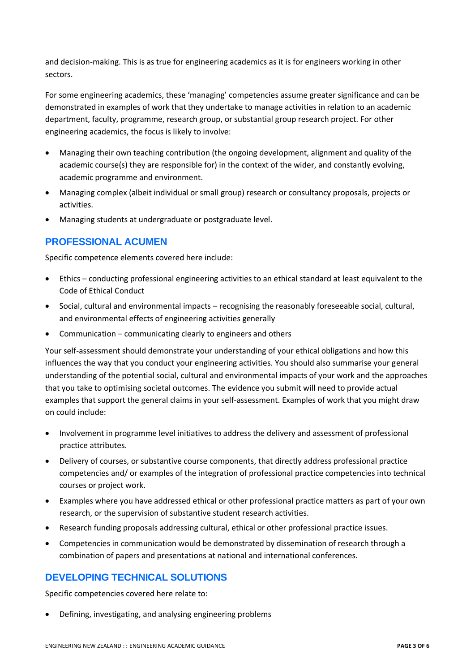and decision-making. This is as true for engineering academics as it is for engineers working in other sectors.

For some engineering academics, these 'managing' competencies assume greater significance and can be demonstrated in examples of work that they undertake to manage activities in relation to an academic department, faculty, programme, research group, or substantial group research project. For other engineering academics, the focus is likely to involve:

- Managing their own teaching contribution (the ongoing development, alignment and quality of the academic course(s) they are responsible for) in the context of the wider, and constantly evolving, academic programme and environment.
- Managing complex (albeit individual or small group) research or consultancy proposals, projects or activities.
- Managing students at undergraduate or postgraduate level.

# **PROFESSIONAL ACUMEN**

Specific competence elements covered here include:

- Ethics conducting professional engineering activities to an ethical standard at least equivalent to the Code of Ethical Conduct
- Social, cultural and environmental impacts recognising the reasonably foreseeable social, cultural, and environmental effects of engineering activities generally
- Communication communicating clearly to engineers and others

Your self-assessment should demonstrate your understanding of your ethical obligations and how this influences the way that you conduct your engineering activities. You should also summarise your general understanding of the potential social, cultural and environmental impacts of your work and the approaches that you take to optimising societal outcomes. The evidence you submit will need to provide actual examples that support the general claims in your self-assessment. Examples of work that you might draw on could include:

- Involvement in programme level initiatives to address the delivery and assessment of professional practice attributes.
- Delivery of courses, or substantive course components, that directly address professional practice competencies and/ or examples of the integration of professional practice competencies into technical courses or project work.
- Examples where you have addressed ethical or other professional practice matters as part of your own research, or the supervision of substantive student research activities.
- Research funding proposals addressing cultural, ethical or other professional practice issues.
- Competencies in communication would be demonstrated by dissemination of research through a combination of papers and presentations at national and international conferences.

# **DEVELOPING TECHNICAL SOLUTIONS**

Specific competencies covered here relate to:

• Defining, investigating, and analysing engineering problems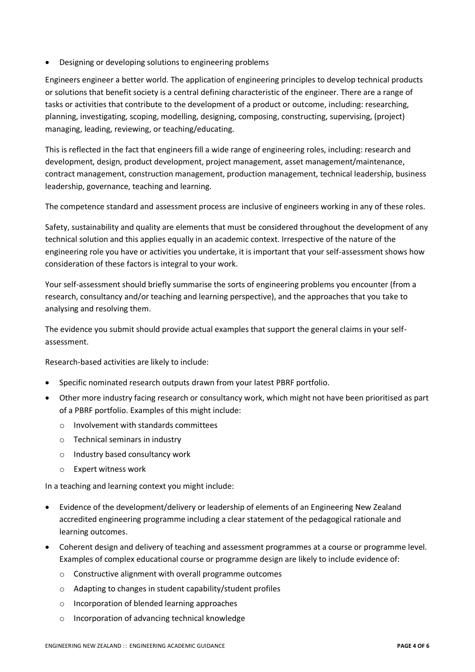• Designing or developing solutions to engineering problems

Engineers engineer a better world. The application of engineering principles to develop technical products or solutions that benefit society is a central defining characteristic of the engineer. There are a range of tasks or activities that contribute to the development of a product or outcome, including: researching, planning, investigating, scoping, modelling, designing, composing, constructing, supervising, (project) managing, leading, reviewing, or teaching/educating.

This is reflected in the fact that engineers fill a wide range of engineering roles, including: research and development, design, product development, project management, asset management/maintenance, contract management, construction management, production management, technical leadership, business leadership, governance, teaching and learning.

The competence standard and assessment process are inclusive of engineers working in any of these roles.

Safety, sustainability and quality are elements that must be considered throughout the development of any technical solution and this applies equally in an academic context. Irrespective of the nature of the engineering role you have or activities you undertake, it is important that your self-assessment shows how consideration of these factors is integral to your work.

Your self-assessment should briefly summarise the sorts of engineering problems you encounter (from a research, consultancy and/or teaching and learning perspective), and the approaches that you take to analysing and resolving them.

The evidence you submit should provide actual examples that support the general claims in your selfassessment.

Research-based activities are likely to include:

- Specific nominated research outputs drawn from your latest PBRF portfolio.
- Other more industry facing research or consultancy work, which might not have been prioritised as part of a PBRF portfolio. Examples of this might include:
	- o Involvement with standards committees
	- o Technical seminars in industry
	- o Industry based consultancy work
	- o Expert witness work

In a teaching and learning context you might include:

- Evidence of the development/delivery or leadership of elements of an Engineering New Zealand accredited engineering programme including a clear statement of the pedagogical rationale and learning outcomes.
- Coherent design and delivery of teaching and assessment programmes at a course or programme level. Examples of complex educational course or programme design are likely to include evidence of:
	- o Constructive alignment with overall programme outcomes
	- o Adapting to changes in student capability/student profiles
	- o Incorporation of blended learning approaches
	- o Incorporation of advancing technical knowledge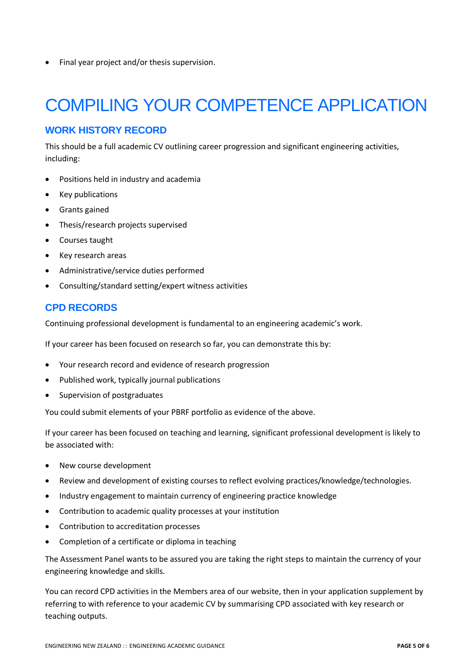• Final year project and/or thesis supervision.

# COMPILING YOUR COMPETENCE APPLICATION

### **WORK HISTORY RECORD**

This should be a full academic CV outlining career progression and significant engineering activities, including:

- Positions held in industry and academia
- Key publications
- Grants gained
- Thesis/research projects supervised
- Courses taught
- Key research areas
- Administrative/service duties performed
- Consulting/standard setting/expert witness activities

### **CPD RECORDS**

Continuing professional development is fundamental to an engineering academic's work.

If your career has been focused on research so far, you can demonstrate this by:

- Your research record and evidence of research progression
- Published work, typically journal publications
- Supervision of postgraduates

You could submit elements of your PBRF portfolio as evidence of the above.

If your career has been focused on teaching and learning, significant professional development is likely to be associated with:

- New course development
- Review and development of existing courses to reflect evolving practices/knowledge/technologies.
- Industry engagement to maintain currency of engineering practice knowledge
- Contribution to academic quality processes at your institution
- Contribution to accreditation processes
- Completion of a certificate or diploma in teaching

The Assessment Panel wants to be assured you are taking the right steps to maintain the currency of your engineering knowledge and skills.

You can record CPD activities in the Members area of our website, then in your application supplement by referring to with reference to your academic CV by summarising CPD associated with key research or teaching outputs.